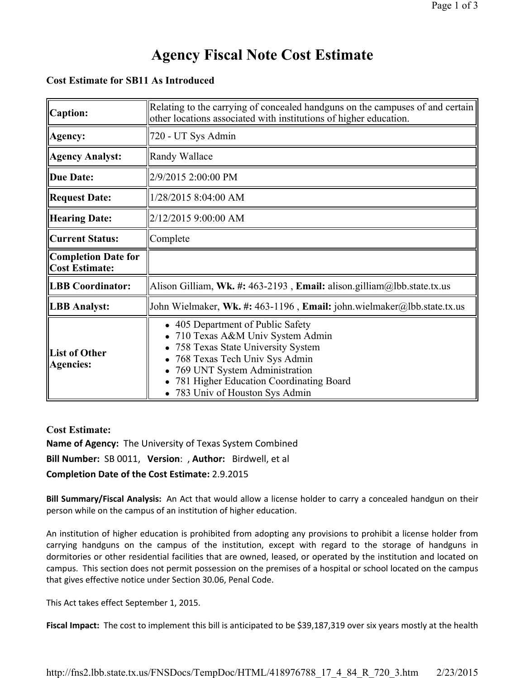#### **Cost Estimate for SB11 As Introduced**

| <b>Caption:</b>                                     | Relating to the carrying of concealed handguns on the campuses of and certain<br>other locations associated with institutions of higher education.                                                                                                    |
|-----------------------------------------------------|-------------------------------------------------------------------------------------------------------------------------------------------------------------------------------------------------------------------------------------------------------|
| Agency:                                             | 720 - UT Sys Admin                                                                                                                                                                                                                                    |
| <b>Agency Analyst:</b>                              | Randy Wallace                                                                                                                                                                                                                                         |
| <b>Due Date:</b>                                    | 2/9/2015 2:00:00 PM                                                                                                                                                                                                                                   |
| <b>Request Date:</b>                                | 1/28/2015 8:04:00 AM                                                                                                                                                                                                                                  |
| <b>Hearing Date:</b>                                | 2/12/2015 9:00:00 AM                                                                                                                                                                                                                                  |
| <b>Current Status:</b>                              | Complete                                                                                                                                                                                                                                              |
| <b>Completion Date for</b><br><b>Cost Estimate:</b> |                                                                                                                                                                                                                                                       |
| <b>LBB Coordinator:</b>                             | Alison Gilliam, Wk. #: 463-2193, Email: alison.gilliam@lbb.state.tx.us                                                                                                                                                                                |
| <b>LBB</b> Analyst:                                 | John Wielmaker, Wk. #: 463-1196, Email: john.wielmaker@lbb.state.tx.us                                                                                                                                                                                |
| <b>List of Other</b><br><b>Agencies:</b>            | 405 Department of Public Safety<br>710 Texas A&M Univ System Admin<br>758 Texas State University System<br>768 Texas Tech Univ Sys Admin<br>769 UNT System Administration<br>781 Higher Education Coordinating Board<br>783 Univ of Houston Sys Admin |

#### **Cost Estimate:**

**Name of Agency:** The University of Texas System Combined **Bill Number:** SB 0011, **Version**: , **Author:** Birdwell, et al **Completion Date of the Cost Estimate:** 2.9.2015

**Bill Summary/Fiscal Analysis:** An Act that would allow a license holder to carry a concealed handgun on their person while on the campus of an institution of higher education.

An institution of higher education is prohibited from adopting any provisions to prohibit a license holder from carrying handguns on the campus of the institution, except with regard to the storage of handguns in dormitories or other residential facilities that are owned, leased, or operated by the institution and located on campus. This section does not permit possession on the premises of a hospital or school located on the campus that gives effective notice under Section 30.06, Penal Code.

This Act takes effect September 1, 2015.

**Fiscal Impact:** The cost to implement this bill is anticipated to be \$39,187,319 over six years mostly at the health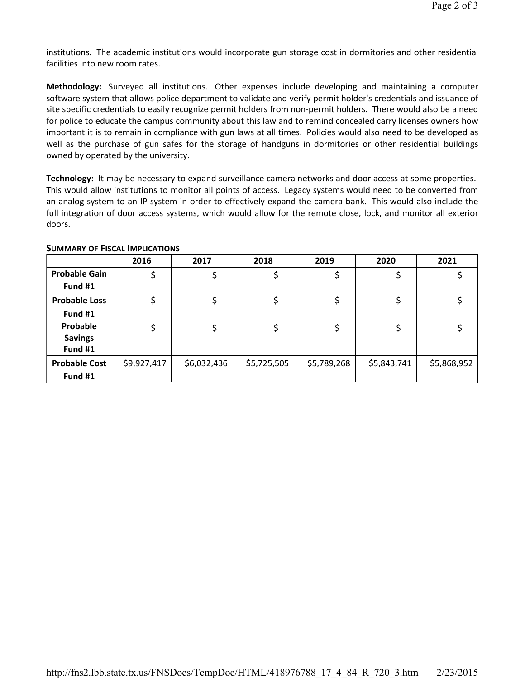institutions. The academic institutions would incorporate gun storage cost in dormitories and other residential facilities into new room rates.

**Methodology:** Surveyed all institutions. Other expenses include developing and maintaining a computer software system that allows police department to validate and verify permit holder's credentials and issuance of site specific credentials to easily recognize permit holders from non-permit holders. There would also be a need for police to educate the campus community about this law and to remind concealed carry licenses owners how important it is to remain in compliance with gun laws at all times. Policies would also need to be developed as well as the purchase of gun safes for the storage of handguns in dormitories or other residential buildings owned by operated by the university.

**Technology:** It may be necessary to expand surveillance camera networks and door access at some properties. This would allow institutions to monitor all points of access. Legacy systems would need to be converted from an analog system to an IP system in order to effectively expand the camera bank. This would also include the full integration of door access systems, which would allow for the remote close, lock, and monitor all exterior doors.

|                      | 2016        | 2017        | 2018        | 2019        | 2020        | 2021        |
|----------------------|-------------|-------------|-------------|-------------|-------------|-------------|
| <b>Probable Gain</b> |             |             |             |             |             |             |
| Fund #1              |             |             |             |             |             |             |
| <b>Probable Loss</b> |             |             |             |             |             |             |
| Fund #1              |             |             |             |             |             |             |
| Probable             |             |             |             |             |             |             |
| <b>Savings</b>       |             |             |             |             |             |             |
| Fund #1              |             |             |             |             |             |             |
| <b>Probable Cost</b> | \$9,927,417 | \$6,032,436 | \$5,725,505 | \$5,789,268 | \$5,843,741 | \$5,868,952 |
| Fund #1              |             |             |             |             |             |             |

#### **SUMMARY OF FISCAL IMPLICATIONS**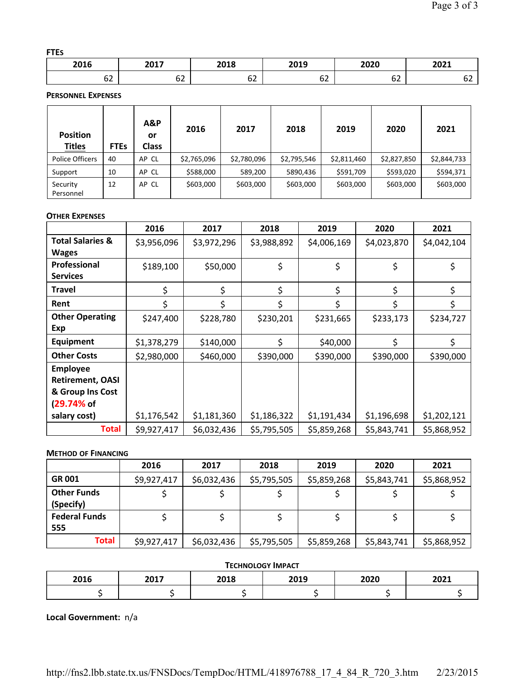#### **FTES**

| 2016 | ,,,,<br>— <b>.</b> | 3040<br>-UIO | 3010<br><b>ZUIS</b><br>___ | 2020   | 3031<br>ZUZI |
|------|--------------------|--------------|----------------------------|--------|--------------|
| --   | --                 | --           | $\sim$                     | $\sim$ | ັ            |
| OZ.  | ◡∠                 | υ∠           | υ∠                         | ΟZ     |              |

**PERSONNEL EXPENSES**

| <b>Position</b><br><b>Titles</b> | <b>FTEs</b> | A&P<br>or<br><b>Class</b> | 2016        | 2017        | 2018        | 2019        | 2020        | 2021        |
|----------------------------------|-------------|---------------------------|-------------|-------------|-------------|-------------|-------------|-------------|
| Police Officers                  | 40          | AP CL                     | \$2,765,096 | \$2,780,096 | \$2,795,546 | \$2,811,460 | \$2,827,850 | \$2,844,733 |
| Support                          | 10          | AP CL                     | \$588,000   | 589,200     | 5890,436    | \$591,709   | \$593,020   | \$594,371   |
| Security<br>Personnel            | 12          | AP CL                     | \$603,000   | \$603,000   | \$603,000   | \$603,000   | \$603,000   | \$603,000   |

#### **OTHER EXPENSES**

|                             | 2016        | 2017        | 2018        | 2019        | 2020        | 2021        |
|-----------------------------|-------------|-------------|-------------|-------------|-------------|-------------|
| <b>Total Salaries &amp;</b> | \$3,956,096 | \$3,972,296 | \$3,988,892 | \$4,006,169 | \$4,023,870 | \$4,042,104 |
| <b>Wages</b>                |             |             |             |             |             |             |
| Professional                | \$189,100   | \$50,000    | \$          | \$          | \$          | \$          |
| <b>Services</b>             |             |             |             |             |             |             |
| <b>Travel</b>               | \$          | \$          | \$          | \$          | \$          | \$          |
| Rent                        |             | Ś           |             |             |             | \$          |
| <b>Other Operating</b>      | \$247,400   | \$228,780   | \$230,201   | \$231,665   | \$233,173   | \$234,727   |
| Exp                         |             |             |             |             |             |             |
| <b>Equipment</b>            | \$1,378,279 | \$140,000   | \$          | \$40,000    | \$          | \$          |
| <b>Other Costs</b>          | \$2,980,000 | \$460,000   | \$390,000   | \$390,000   | \$390,000   | \$390,000   |
| <b>Employee</b>             |             |             |             |             |             |             |
| <b>Retirement, OASI</b>     |             |             |             |             |             |             |
| & Group Ins Cost            |             |             |             |             |             |             |
| (29.74% of                  |             |             |             |             |             |             |
| salary cost)                | \$1,176,542 | \$1,181,360 | \$1,186,322 | \$1,191,434 | \$1,196,698 | \$1,202,121 |
| Total                       | \$9,927,417 | \$6,032,436 | \$5,795,505 | \$5,859,268 | \$5,843,741 | \$5,868,952 |

#### **METHOD OF FINANCING**

|                      | 2016        | 2017        | 2018        | 2019        | 2020        | 2021        |
|----------------------|-------------|-------------|-------------|-------------|-------------|-------------|
| <b>GR 001</b>        | \$9,927,417 | \$6,032,436 | \$5,795,505 | \$5,859,268 | \$5,843,741 | \$5,868,952 |
| <b>Other Funds</b>   |             |             |             |             |             |             |
| (Specify)            |             |             |             |             |             |             |
| <b>Federal Funds</b> |             |             |             |             |             |             |
| 555                  |             |             |             |             |             |             |
| Total                | \$9,927,417 | \$6,032,436 | \$5,795,505 | \$5,859,268 | \$5,843,741 | \$5,868,952 |

| <b>TECHNOLOGY IMPACT</b>                     |  |  |  |  |  |  |  |  |  |  |  |
|----------------------------------------------|--|--|--|--|--|--|--|--|--|--|--|
| 2018<br>2016<br>2020<br>2021<br>2017<br>2019 |  |  |  |  |  |  |  |  |  |  |  |
|                                              |  |  |  |  |  |  |  |  |  |  |  |

**Local Government:** n/a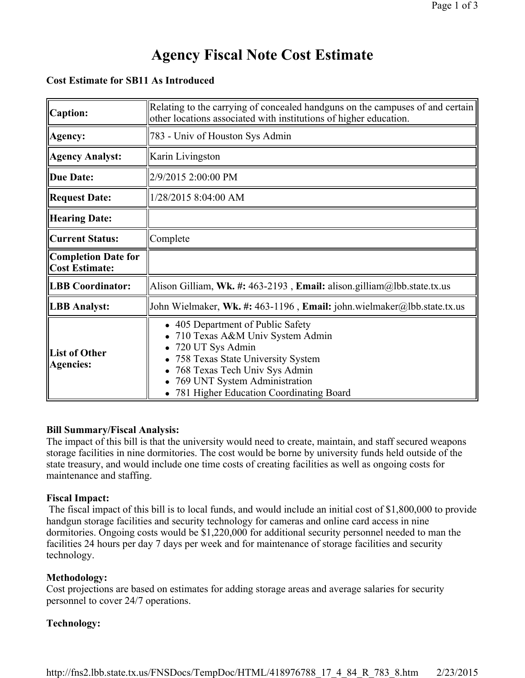#### **Cost Estimate for SB11 As Introduced**

| Caption:                                            | Relating to the carrying of concealed handguns on the campuses of and certain<br>other locations associated with institutions of higher education.                                                                                           |
|-----------------------------------------------------|----------------------------------------------------------------------------------------------------------------------------------------------------------------------------------------------------------------------------------------------|
| Agency:                                             | 783 - Univ of Houston Sys Admin                                                                                                                                                                                                              |
| <b>Agency Analyst:</b>                              | Karin Livingston                                                                                                                                                                                                                             |
| Due Date:                                           | 2/9/2015 2:00:00 PM                                                                                                                                                                                                                          |
| <b>Request Date:</b>                                | 1/28/2015 8:04:00 AM                                                                                                                                                                                                                         |
| <b>Hearing Date:</b>                                |                                                                                                                                                                                                                                              |
| <b>Current Status:</b>                              | Complete                                                                                                                                                                                                                                     |
| <b>Completion Date for</b><br><b>Cost Estimate:</b> |                                                                                                                                                                                                                                              |
| <b>LBB</b> Coordinator:                             | Alison Gilliam, Wk. #: 463-2193, Email: alison.gilliam@lbb.state.tx.us                                                                                                                                                                       |
| <b>LBB</b> Analyst:                                 | John Wielmaker, Wk. #: 463-1196, Email: john.wielmaker@lbb.state.tx.us                                                                                                                                                                       |
| <b>List of Other</b><br><b>Agencies:</b>            | • 405 Department of Public Safety<br>710 Texas A&M Univ System Admin<br>720 UT Sys Admin<br>758 Texas State University System<br>768 Texas Tech Univ Sys Admin<br>769 UNT System Administration<br>• 781 Higher Education Coordinating Board |

#### **Bill Summary/Fiscal Analysis:**

The impact of this bill is that the university would need to create, maintain, and staff secured weapons storage facilities in nine dormitories. The cost would be borne by university funds held outside of the state treasury, and would include one time costs of creating facilities as well as ongoing costs for maintenance and staffing.

#### **Fiscal Impact:**

The fiscal impact of this bill is to local funds, and would include an initial cost of \$1,800,000 to provide handgun storage facilities and security technology for cameras and online card access in nine dormitories. Ongoing costs would be \$1,220,000 for additional security personnel needed to man the facilities 24 hours per day 7 days per week and for maintenance of storage facilities and security technology.

### **Methodology:**

Cost projections are based on estimates for adding storage areas and average salaries for security personnel to cover 24/7 operations.

### **Technology:**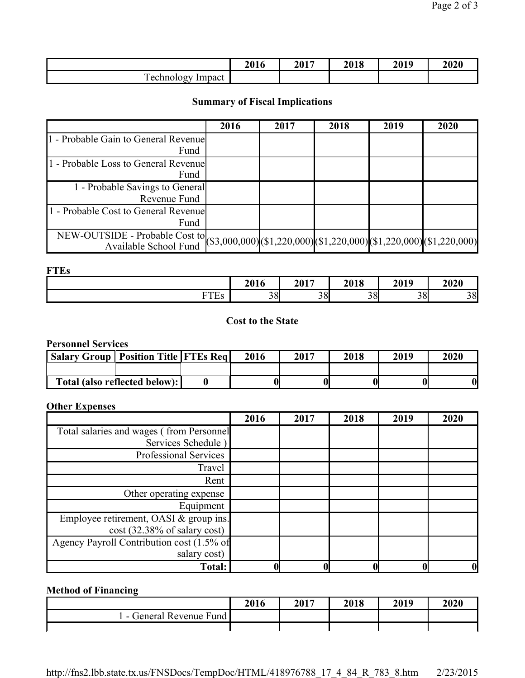|                                                         | 2016 | 2017 | 2018 | 2019 | 2020 |
|---------------------------------------------------------|------|------|------|------|------|
| $\mathbf{r}$<br>Impact<br>ے تمہ ان<br>echno<br>echnolog |      |      |      |      |      |

## **Summary of Fiscal Implications**

|                                                                                                      | 2016 | 2017 | 2018 | 2019 | 2020 |
|------------------------------------------------------------------------------------------------------|------|------|------|------|------|
| 1 - Probable Gain to General Revenue                                                                 |      |      |      |      |      |
| Fund                                                                                                 |      |      |      |      |      |
| 1 - Probable Loss to General Revenue                                                                 |      |      |      |      |      |
| Fund                                                                                                 |      |      |      |      |      |
| 1 - Probable Savings to General                                                                      |      |      |      |      |      |
| Revenue Fund                                                                                         |      |      |      |      |      |
| 1 - Probable Cost to General Revenue                                                                 |      |      |      |      |      |
| Fund                                                                                                 |      |      |      |      |      |
| NEW-OUTSIDE - Probable Cost to (\$3,000,000) (\$1,220,000) (\$1,220,000) (\$1,220,000) (\$1,220,000) |      |      |      |      |      |
|                                                                                                      |      |      |      |      |      |

**FTEs**

|                                                 | 2016 | 2017 | 2010<br>4010 | 2019 | 2020 |
|-------------------------------------------------|------|------|--------------|------|------|
| $\blacksquare$<br>$\sim$ $\sim$ $\sim$<br>⊥ ∟ ാ | 38   | 38   | 38           | 38   | 38   |

## **Cost to the State**

### **Personnel Services**

| <b>Salary Group   Position Title   FTEs Reg  </b> |                               | 2016 | 2017 | 2018 | 2019 | 2020 |
|---------------------------------------------------|-------------------------------|------|------|------|------|------|
|                                                   |                               |      |      |      |      |      |
|                                                   | Total (also reflected below): |      |      |      |      |      |

## **Other Expenses**

|                                           | 2016 | 2017 | 2018 | 2019 | 2020         |
|-------------------------------------------|------|------|------|------|--------------|
| Total salaries and wages (from Personnel  |      |      |      |      |              |
| Services Schedule)                        |      |      |      |      |              |
| Professional Services                     |      |      |      |      |              |
| Travel                                    |      |      |      |      |              |
| Rent                                      |      |      |      |      |              |
| Other operating expense                   |      |      |      |      |              |
| Equipment                                 |      |      |      |      |              |
| Employee retirement, OASI & group ins.    |      |      |      |      |              |
| $cost(32.38\% \text{ of salary cost})$    |      |      |      |      |              |
| Agency Payroll Contribution cost (1.5% of |      |      |      |      |              |
| salary cost)                              |      |      |      |      |              |
| <b>Total:</b>                             |      |      |      |      | $\mathbf{0}$ |

## **Method of Financing**

|                        | 2016 | 2017 | 2018 | 2019 | 2020 |
|------------------------|------|------|------|------|------|
| General Revenue Fund I |      |      |      |      |      |
|                        |      |      |      |      |      |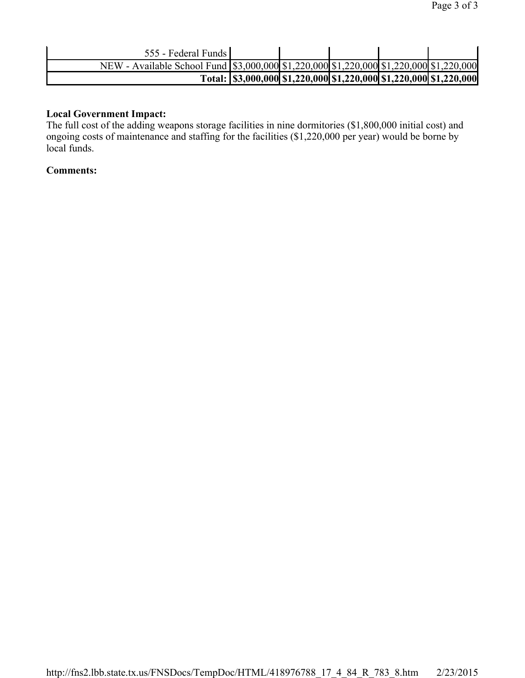| 555 - Federal Funds                                                                                 |  |  |                                                                             |
|-----------------------------------------------------------------------------------------------------|--|--|-----------------------------------------------------------------------------|
| NEW - Available School Fund \\ \ \$3,000,000\\ \$1,220,000\\ \$1,220,000\ \$1,220,000\ \$1,220,000\ |  |  |                                                                             |
|                                                                                                     |  |  | Total: \\ \\$3,000,000\\\$1,220,000\\\$1,220,000\\\$1,220,000\\\$1,220,000\ |

#### **Local Government Impact:**

The full cost of the adding weapons storage facilities in nine dormitories (\$1,800,000 initial cost) and ongoing costs of maintenance and staffing for the facilities (\$1,220,000 per year) would be borne by local funds.

#### **Comments:**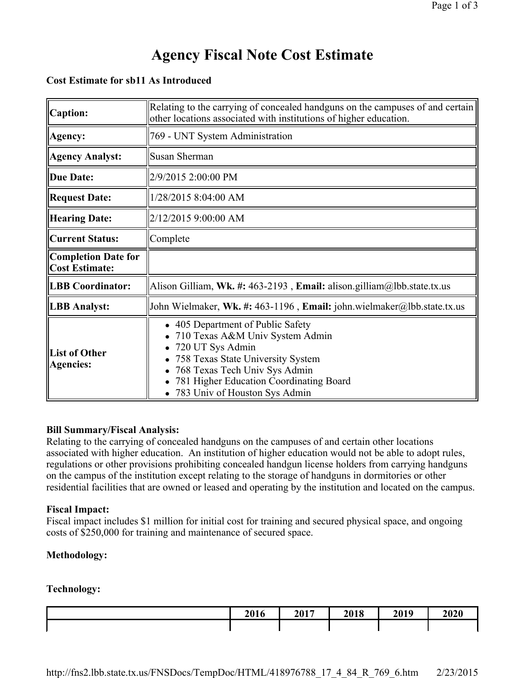#### **Cost Estimate for sb11 As Introduced**

| <b>Caption:</b>                                     | Relating to the carrying of concealed handguns on the campuses of and certain<br>other locations associated with institutions of higher education.                                                                                         |
|-----------------------------------------------------|--------------------------------------------------------------------------------------------------------------------------------------------------------------------------------------------------------------------------------------------|
| Agency:                                             | 769 - UNT System Administration                                                                                                                                                                                                            |
| <b>Agency Analyst:</b>                              | Susan Sherman                                                                                                                                                                                                                              |
| <b>Due Date:</b>                                    | 2/9/2015 2:00:00 PM                                                                                                                                                                                                                        |
| <b>Request Date:</b>                                | 1/28/2015 8:04:00 AM                                                                                                                                                                                                                       |
| <b>Hearing Date:</b>                                | 2/12/2015 9:00:00 AM                                                                                                                                                                                                                       |
| <b>Current Status:</b>                              | Complete                                                                                                                                                                                                                                   |
| <b>Completion Date for</b><br><b>Cost Estimate:</b> |                                                                                                                                                                                                                                            |
| <b>LBB Coordinator:</b>                             | Alison Gilliam, Wk. #: 463-2193, Email: alison.gilliam@lbb.state.tx.us                                                                                                                                                                     |
| <b>LBB</b> Analyst:                                 | John Wielmaker, Wk. #: 463-1196, Email: john.wielmaker@lbb.state.tx.us                                                                                                                                                                     |
| <b>List of Other</b><br><b>Agencies:</b>            | • 405 Department of Public Safety<br>710 Texas A&M Univ System Admin<br>720 UT Sys Admin<br>758 Texas State University System<br>768 Texas Tech Univ Sys Admin<br>781 Higher Education Coordinating Board<br>783 Univ of Houston Sys Admin |

#### **Bill Summary/Fiscal Analysis:**

Relating to the carrying of concealed handguns on the campuses of and certain other locations associated with higher education. An institution of higher education would not be able to adopt rules, regulations or other provisions prohibiting concealed handgun license holders from carrying handguns on the campus of the institution except relating to the storage of handguns in dormitories or other residential facilities that are owned or leased and operating by the institution and located on the campus.

#### **Fiscal Impact:**

Fiscal impact includes \$1 million for initial cost for training and secured physical space, and ongoing costs of \$250,000 for training and maintenance of secured space.

### **Methodology:**

### **Technology:**

| 2016 | 2017 | 2018 | 2019 | 2020 |
|------|------|------|------|------|
|      |      |      |      |      |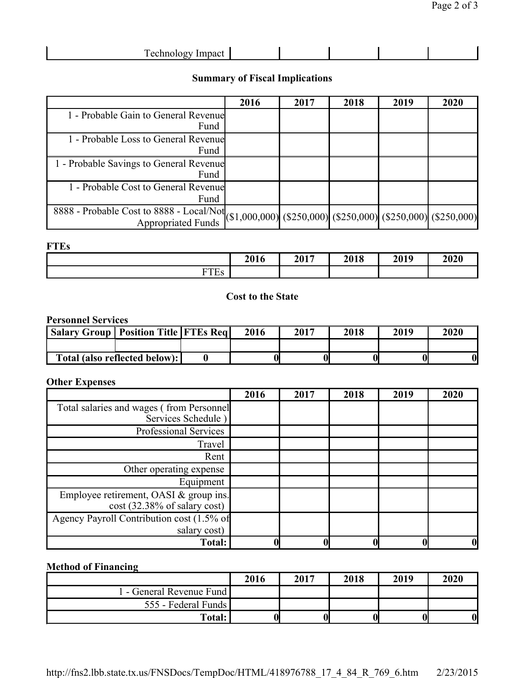| <b>Technology Impact</b> |
|--------------------------|
|--------------------------|

## **Summary of Fiscal Implications**

|                                                                                                                                                           | 2016 | 2017 | 2018 | 2019 | 2020 |
|-----------------------------------------------------------------------------------------------------------------------------------------------------------|------|------|------|------|------|
| 1 - Probable Gain to General Revenue                                                                                                                      |      |      |      |      |      |
| Fund                                                                                                                                                      |      |      |      |      |      |
| 1 - Probable Loss to General Revenue                                                                                                                      |      |      |      |      |      |
| Fund                                                                                                                                                      |      |      |      |      |      |
| 1 - Probable Savings to General Revenue                                                                                                                   |      |      |      |      |      |
| Fund                                                                                                                                                      |      |      |      |      |      |
| 1 - Probable Cost to General Revenue                                                                                                                      |      |      |      |      |      |
| Fund                                                                                                                                                      |      |      |      |      |      |
| $\frac{8888 - \text{Probable Cost to } 8888 - \text{Local/Not}}{\text{Appropriated Funds}} (\$1,000,000) (\$250,000) (\$250,000) (\$250,000) (\$250,000)$ |      |      |      |      |      |
|                                                                                                                                                           |      |      |      |      |      |

### **FTEs**

|                                     | 2016 | 2017 | 2018 | 2019 | 2020 |
|-------------------------------------|------|------|------|------|------|
| <b>DOD</b><br><b>ES</b><br><b>.</b> |      |      |      |      |      |

#### **Cost to the State**

#### **Personnel Services**

| <b>Salary Group   Position Title   FTEs Reg  </b> |                               | 2016 | 2017 | 2018 | 2019 | 2020 |
|---------------------------------------------------|-------------------------------|------|------|------|------|------|
|                                                   |                               |      |      |      |      |      |
|                                                   | Total (also reflected below): |      |      |      |      |      |

#### **Other Expenses**

|                                                                                  | 2016 | 2017 | 2018 | 2019 | 2020 |
|----------------------------------------------------------------------------------|------|------|------|------|------|
| Total salaries and wages (from Personnel<br>Services Schedule)                   |      |      |      |      |      |
| Professional Services                                                            |      |      |      |      |      |
| Travel                                                                           |      |      |      |      |      |
| Rent                                                                             |      |      |      |      |      |
| Other operating expense                                                          |      |      |      |      |      |
| Equipment                                                                        |      |      |      |      |      |
| Employee retirement, OASI & group ins.<br>$cost(32.38\% \text{ of salary cost})$ |      |      |      |      |      |
| Agency Payroll Contribution cost (1.5% of<br>salary cost)                        |      |      |      |      |      |
| <b>Total:</b>                                                                    |      |      |      |      | O    |

## **Method of Financing**

|                        | 2016 | 2017 | 2018 | 2019 | 2020             |
|------------------------|------|------|------|------|------------------|
| - General Revenue Fund |      |      |      |      |                  |
| 555 - Federal Funds    |      |      |      |      |                  |
| <b>Total:</b>          |      |      |      |      | $\boldsymbol{0}$ |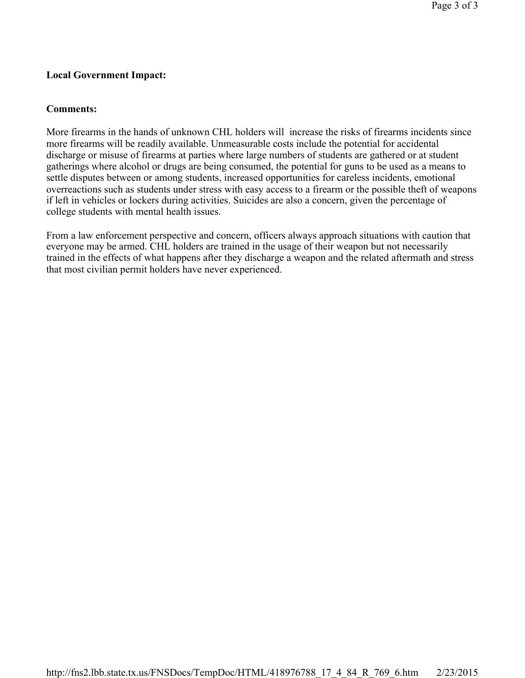#### **Local Government Impact:**

#### **Comments:**

More firearms in the hands of unknown CHL holders will increase the risks of firearms incidents since more firearms will be readily available. Unmeasurable costs include the potential for accidental discharge or misuse of firearms at parties where large numbers of students are gathered or at student gatherings where alcohol or drugs are being consumed, the potential for guns to be used as a means to settle disputes between or among students, increased opportunities for careless incidents, emotional overreactions such as students under stress with easy access to a firearm or the possible theft of weapons if left in vehicles or lockers during activities. Suicides are also a concern, given the percentage of college students with mental health issues.

From a law enforcement perspective and concern, officers always approach situations with caution that everyone may be armed. CHL holders are trained in the usage of their weapon but not necessarily trained in the effects of what happens after they discharge a weapon and the related aftermath and stress that most civilian permit holders have never experienced.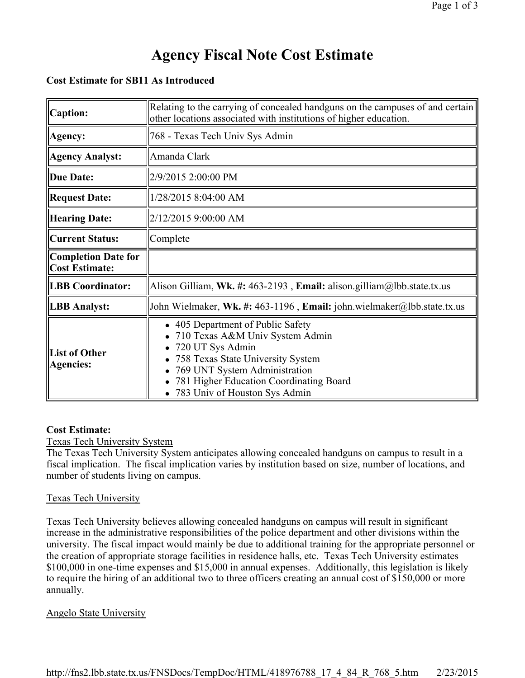#### **Cost Estimate for SB11 As Introduced**

| <b>Caption:</b>                                     | Relating to the carrying of concealed handguns on the campuses of and certain<br>other locations associated with institutions of higher education.                                                                                       |
|-----------------------------------------------------|------------------------------------------------------------------------------------------------------------------------------------------------------------------------------------------------------------------------------------------|
| Agency:                                             | 768 - Texas Tech Univ Sys Admin                                                                                                                                                                                                          |
| <b>Agency Analyst:</b>                              | Amanda Clark                                                                                                                                                                                                                             |
| <b>Due Date:</b>                                    | 2/9/2015 2:00:00 PM                                                                                                                                                                                                                      |
| <b>Request Date:</b>                                | 1/28/2015 8:04:00 AM                                                                                                                                                                                                                     |
| <b>Hearing Date:</b>                                | 2/12/2015 9:00:00 AM                                                                                                                                                                                                                     |
| <b>Current Status:</b>                              | Complete                                                                                                                                                                                                                                 |
| <b>Completion Date for</b><br><b>Cost Estimate:</b> |                                                                                                                                                                                                                                          |
| <b>LBB Coordinator:</b>                             | Alison Gilliam, Wk. #: 463-2193, Email: alison.gilliam@lbb.state.tx.us                                                                                                                                                                   |
| <b>LBB</b> Analyst:                                 | John Wielmaker, Wk. #: 463-1196, Email: john.wielmaker@lbb.state.tx.us                                                                                                                                                                   |
| <b>List of Other</b><br><b>Agencies:</b>            | 405 Department of Public Safety<br>710 Texas A&M Univ System Admin<br>720 UT Sys Admin<br>758 Texas State University System<br>769 UNT System Administration<br>781 Higher Education Coordinating Board<br>783 Univ of Houston Sys Admin |

#### **Cost Estimate:**

Texas Tech University System

The Texas Tech University System anticipates allowing concealed handguns on campus to result in a fiscal implication. The fiscal implication varies by institution based on size, number of locations, and number of students living on campus.

#### Texas Tech University

Texas Tech University believes allowing concealed handguns on campus will result in significant increase in the administrative responsibilities of the police department and other divisions within the university. The fiscal impact would mainly be due to additional training for the appropriate personnel or the creation of appropriate storage facilities in residence halls, etc. Texas Tech University estimates \$100,000 in one-time expenses and \$15,000 in annual expenses. Additionally, this legislation is likely to require the hiring of an additional two to three officers creating an annual cost of \$150,000 or more annually.

#### Angelo State University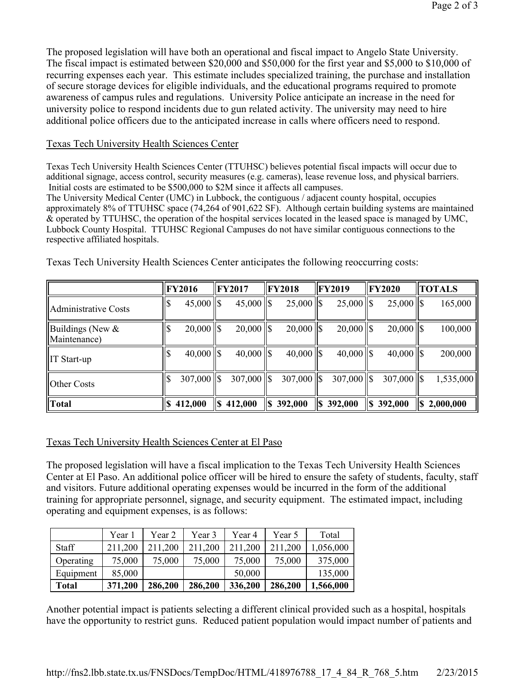The proposed legislation will have both an operational and fiscal impact to Angelo State University. The fiscal impact is estimated between \$20,000 and \$50,000 for the first year and \$5,000 to \$10,000 of recurring expenses each year. This estimate includes specialized training, the purchase and installation of secure storage devices for eligible individuals, and the educational programs required to promote awareness of campus rules and regulations. University Police anticipate an increase in the need for university police to respond incidents due to gun related activity. The university may need to hire additional police officers due to the anticipated increase in calls where officers need to respond.

## Texas Tech University Health Sciences Center

Texas Tech University Health Sciences Center (TTUHSC) believes potential fiscal impacts will occur due to additional signage, access control, security measures (e.g. cameras), lease revenue loss, and physical barriers. Initial costs are estimated to be \$500,000 to \$2M since it affects all campuses.

The University Medical Center (UMC) in Lubbock, the contiguous / adjacent county hospital, occupies approximately 8% of TTUHSC space (74,264 of 901,622 SF). Although certain building systems are maintained & operated by TTUHSC, the operation of the hospital services located in the leased space is managed by UMC, Lubbock County Hospital. TTUHSC Regional Campuses do not have similar contiguous connections to the respective affiliated hospitals.

|                                     | <b>FY2016</b> |     | <b>FY2017</b>  |      | $\parallel$ FY2018 |   | <b>FY2019</b> | <b>IFY2020</b> | <b>TOTALS</b> |
|-------------------------------------|---------------|-----|----------------|------|--------------------|---|---------------|----------------|---------------|
| Administrative Costs                | $45,000$ S    |     | $45,000$   \$  |      | $25,000$   \$      |   | $25,000$ S    | $25,000$   \$  | 165,000       |
| Buildings (New $\&$<br>Maintenance) | $20,000$ S    |     | $20,000$   \$  |      | $20,000$   \$      |   | $20,000$ S    | $20,000$   \$  | 100,000       |
| $\ $ IT Start-up                    | $40,000$ S    |     | $40,000$   \$  |      | $40,000$   \$      |   | $40,000$ S    | $40,000$   \$  | 200,000       |
| Other Costs                         | $307,000$ S   |     | $307,000$   \$ |      | $307,000$ S        |   | $307,000$ S   | $307,000$   \$ | 1,535,000     |
| Total                               | 412,000       | l\$ | 412,000        | ll\$ | 392,000            | S | 392,000       | $\ \$$ 392,000 | 2,000,000     |

Texas Tech University Health Sciences Center anticipates the following reoccurring costs:

## Texas Tech University Health Sciences Center at El Paso

The proposed legislation will have a fiscal implication to the Texas Tech University Health Sciences Center at El Paso. An additional police officer will be hired to ensure the safety of students, faculty, staff and visitors. Future additional operating expenses would be incurred in the form of the additional training for appropriate personnel, signage, and security equipment. The estimated impact, including operating and equipment expenses, is as follows:

|              | Year 1  | Year 2  | Year 3  | Year 4  | Year 5  | Total     |
|--------------|---------|---------|---------|---------|---------|-----------|
| <b>Staff</b> | 211,200 | 211,200 | 211,200 | 211,200 | 211,200 | 1,056,000 |
| Operating    | 75,000  | 75,000  | 75,000  | 75,000  | 75,000  | 375,000   |
| Equipment    | 85,000  |         |         | 50,000  |         | 135,000   |
| <b>Total</b> | 371,200 | 286,200 | 286,200 | 336,200 | 286,200 | 1,566,000 |

Another potential impact is patients selecting a different clinical provided such as a hospital, hospitals have the opportunity to restrict guns. Reduced patient population would impact number of patients and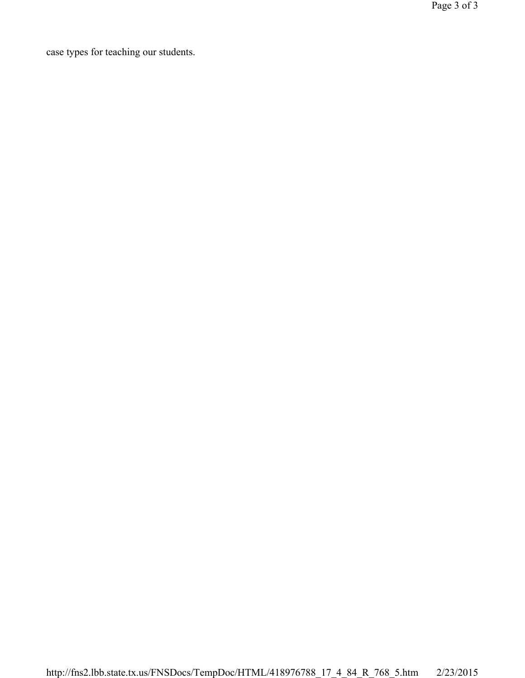case types for teaching our students.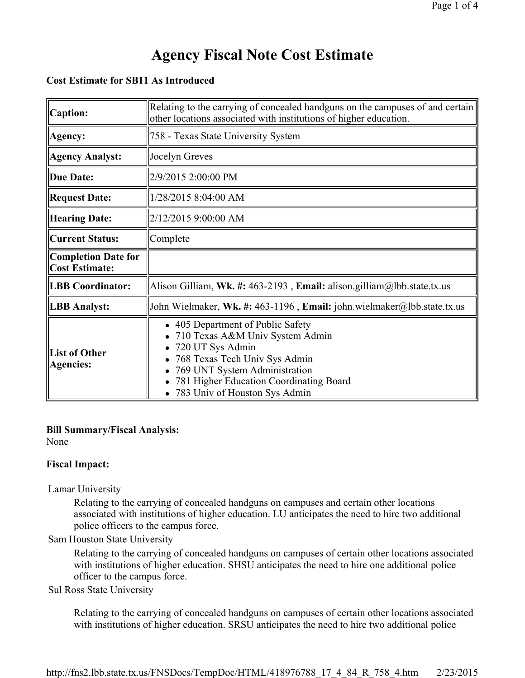#### **Cost Estimate for SB11 As Introduced**

| <b>Caption:</b>                                     | Relating to the carrying of concealed handguns on the campuses of and certain<br>other locations associated with institutions of higher education.                                                                                   |
|-----------------------------------------------------|--------------------------------------------------------------------------------------------------------------------------------------------------------------------------------------------------------------------------------------|
| Agency:                                             | 758 - Texas State University System                                                                                                                                                                                                  |
| <b>Agency Analyst:</b>                              | Jocelyn Greves                                                                                                                                                                                                                       |
| <b>Due Date:</b>                                    | 2/9/2015 2:00:00 PM                                                                                                                                                                                                                  |
| <b>Request Date:</b>                                | 1/28/2015 8:04:00 AM                                                                                                                                                                                                                 |
| <b>Hearing Date:</b>                                | 2/12/2015 9:00:00 AM                                                                                                                                                                                                                 |
| <b>Current Status:</b>                              | Complete                                                                                                                                                                                                                             |
| <b>Completion Date for</b><br><b>Cost Estimate:</b> |                                                                                                                                                                                                                                      |
| <b>LBB Coordinator:</b>                             | Alison Gilliam, Wk. #: 463-2193, Email: alison.gilliam@lbb.state.tx.us                                                                                                                                                               |
| <b>LBB</b> Analyst:                                 | John Wielmaker, Wk. #: 463-1196, Email: john.wielmaker@lbb.state.tx.us                                                                                                                                                               |
| <b>List of Other</b><br><b>Agencies:</b>            | 405 Department of Public Safety<br>710 Texas A&M Univ System Admin<br>720 UT Sys Admin<br>768 Texas Tech Univ Sys Admin<br>769 UNT System Administration<br>781 Higher Education Coordinating Board<br>783 Univ of Houston Sys Admin |

### **Bill Summary/Fiscal Analysis:**

None

#### **Fiscal Impact:**

Lamar University

Relating to the carrying of concealed handguns on campuses and certain other locations associated with institutions of higher education. LU anticipates the need to hire two additional police officers to the campus force.

#### Sam Houston State University

Relating to the carrying of concealed handguns on campuses of certain other locations associated with institutions of higher education. SHSU anticipates the need to hire one additional police officer to the campus force.

#### Sul Ross State University

Relating to the carrying of concealed handguns on campuses of certain other locations associated with institutions of higher education. SRSU anticipates the need to hire two additional police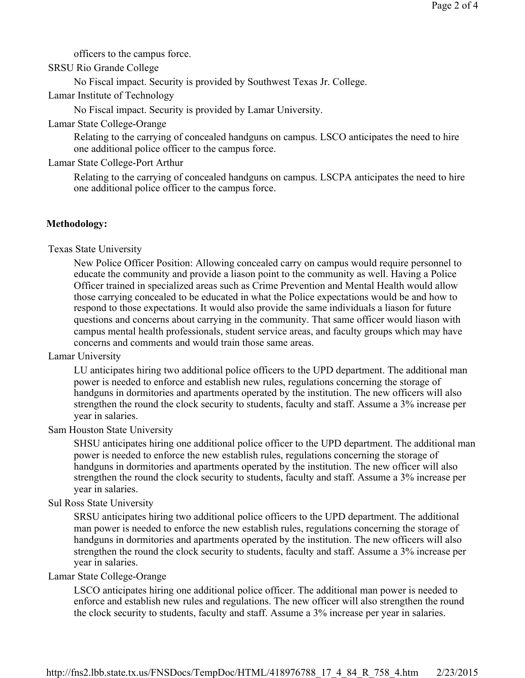officers to the campus force.

#### SRSU Rio Grande College

No Fiscal impact. Security is provided by Southwest Texas Jr. College.

Lamar Institute of Technology

No Fiscal impact. Security is provided by Lamar University.

#### Lamar State College-Orange

Relating to the carrying of concealed handguns on campus. LSCO anticipates the need to hire one additional police officer to the campus force.

#### Lamar State College-Port Arthur

Relating to the carrying of concealed handguns on campus. LSCPA anticipates the need to hire one additional police officer to the campus force.

#### **Methodology:**

Texas State University

New Police Officer Position: Allowing concealed carry on campus would require personnel to educate the community and provide a liason point to the community as well. Having a Police Officer trained in specialized areas such as Crime Prevention and Mental Health would allow those carrying concealed to be educated in what the Police expectations would be and how to respond to those expectations. It would also provide the same individuals a liason for future questions and concerns about carrying in the community. That same officer would liason with campus mental health professionals, student service areas, and faculty groups which may have concerns and comments and would train those same areas.

#### Lamar University

LU anticipates hiring two additional police officers to the UPD department. The additional man power is needed to enforce and establish new rules, regulations concerning the storage of handguns in dormitories and apartments operated by the institution. The new officers will also strengthen the round the clock security to students, faculty and staff. Assume a 3% increase per year in salaries.

#### Sam Houston State University

SHSU anticipates hiring one additional police officer to the UPD department. The additional man power is needed to enforce the new establish rules, regulations concerning the storage of handguns in dormitories and apartments operated by the institution. The new officer will also strengthen the round the clock security to students, faculty and staff. Assume a 3% increase per year in salaries.

#### Sul Ross State University

SRSU anticipates hiring two additional police officers to the UPD department. The additional man power is needed to enforce the new establish rules, regulations concerning the storage of handguns in dormitories and apartments operated by the institution. The new officers will also strengthen the round the clock security to students, faculty and staff. Assume a 3% increase per year in salaries.

#### Lamar State College-Orange

LSCO anticipates hiring one additional police officer. The additional man power is needed to enforce and establish new rules and regulations. The new officer will also strengthen the round the clock security to students, faculty and staff. Assume a 3% increase per year in salaries.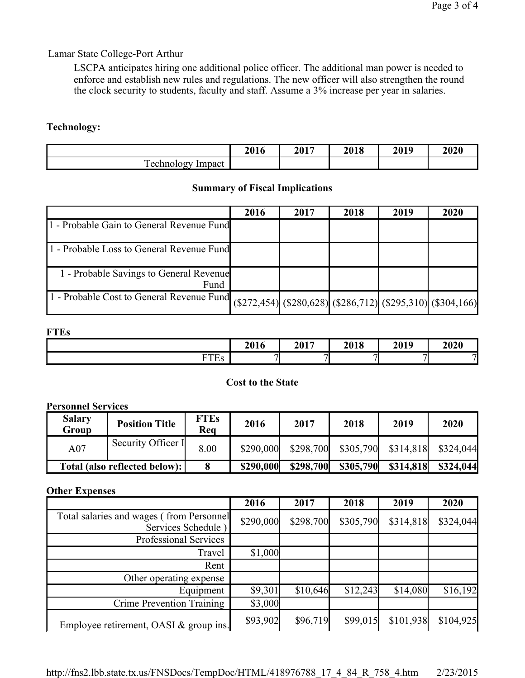## Lamar State College-Port Arthur

LSCPA anticipates hiring one additional police officer. The additional man power is needed to enforce and establish new rules and regulations. The new officer will also strengthen the round the clock security to students, faculty and staff. Assume a 3% increase per year in salaries.

#### **Technology:**

|                                                                                        | 2016 | $2017$<br>20 L | 2018 | 2019 | 2020 |
|----------------------------------------------------------------------------------------|------|----------------|------|------|------|
| $\mathbf{r}$<br>$\sim$ $\sim$ $\sim$ $\sim$ $\sim$<br>'mnact<br>$\Omega$<br>10 V<br>__ |      |                |      |      |      |

#### **Summary of Fiscal Implications**

|                                                 | 2016 | 2017 | 2018 | 2019 | 2020                                                                            |
|-------------------------------------------------|------|------|------|------|---------------------------------------------------------------------------------|
| 1 - Probable Gain to General Revenue Fund       |      |      |      |      |                                                                                 |
| 1 - Probable Loss to General Revenue Fund       |      |      |      |      |                                                                                 |
| 1 - Probable Savings to General Revenue<br>Fund |      |      |      |      |                                                                                 |
| 1 - Probable Cost to General Revenue Fund       |      |      |      |      | $($ (\$272,454) $($ \$280,628) $($ \$286,712) $($ \$295,310) $($ \$304,166) $)$ |

#### **FTEs**

|                     | 2016       | 2017   | 2018 | 2019 | 2020 |
|---------------------|------------|--------|------|------|------|
| -----<br>.<br>د سند | <u>— в</u> | $\sim$ |      | -    | −    |

#### **Cost to the State**

#### **Personnel Services**

| <b>Salary</b><br>Group | <b>Position Title</b>         | <b>FTEs</b><br>Rea | 2016      | 2017      | 2018      | 2019      | 2020      |
|------------------------|-------------------------------|--------------------|-----------|-----------|-----------|-----------|-----------|
| A07                    | Security Officer I            | 8.00               | \$290,000 | \$298,700 | \$305,790 | \$314,818 | \$324,044 |
|                        | Total (also reflected below): |                    | \$290,000 | \$298,700 | \$305,790 | \$314,818 | \$324,044 |

#### **Other Expenses**

|                                                                | 2016      | 2017      | 2018      | 2019      | 2020      |
|----------------------------------------------------------------|-----------|-----------|-----------|-----------|-----------|
| Total salaries and wages (from Personnel<br>Services Schedule) | \$290,000 | \$298,700 | \$305,790 | \$314,818 | \$324,044 |
| Professional Services                                          |           |           |           |           |           |
| Travel                                                         | \$1,000   |           |           |           |           |
| Rent                                                           |           |           |           |           |           |
| Other operating expense                                        |           |           |           |           |           |
| Equipment                                                      | \$9,301   | \$10,646  | \$12,243  | \$14,080  | \$16,192  |
| Crime Prevention Training                                      | \$3,000   |           |           |           |           |
| Employee retirement, OASI $&$ group ins.                       | \$93,902  | \$96,719  | \$99,015  | \$101,938 | \$104,925 |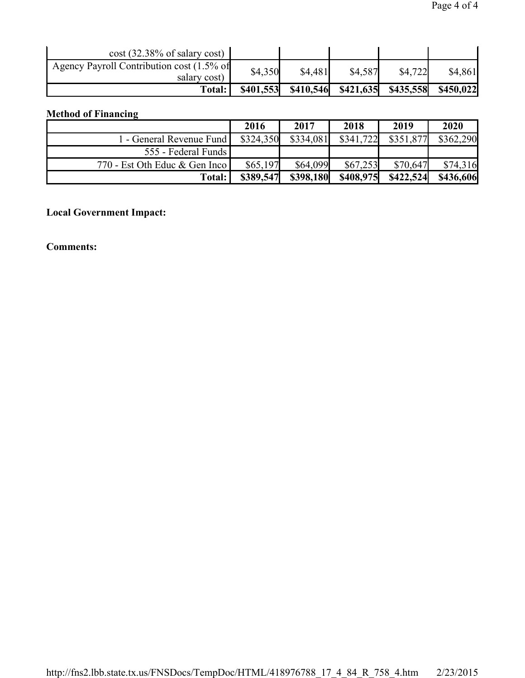| $\cos t$ (32.38% of salary cost)                          |           |           |           |           |           |
|-----------------------------------------------------------|-----------|-----------|-----------|-----------|-----------|
| Agency Payroll Contribution cost (1.5% of<br>salary cost) | \$4,350   | \$4,481   | \$4,587   | \$4,722   | \$4,861   |
| <b>Total:</b>                                             | \$401,553 | \$410,546 | \$421,635 | \$435,558 | \$450,022 |

## **Method of Financing**

|                               | 2016      | 2017      | 2018      | 2019      | 2020      |
|-------------------------------|-----------|-----------|-----------|-----------|-----------|
| 1 - General Revenue Fund      | \$324,350 | \$334,081 | \$341,722 | \$351,877 | \$362,290 |
| 555 - Federal Funds           |           |           |           |           |           |
| 770 - Est Oth Educ & Gen Inco | \$65,197  | \$64,099  | \$67,253  | \$70,647  | \$74.316  |
| Total:                        | \$389,547 | \$398,180 | \$408,975 | \$422,524 | \$436,606 |

## **Local Government Impact:**

**Comments:**